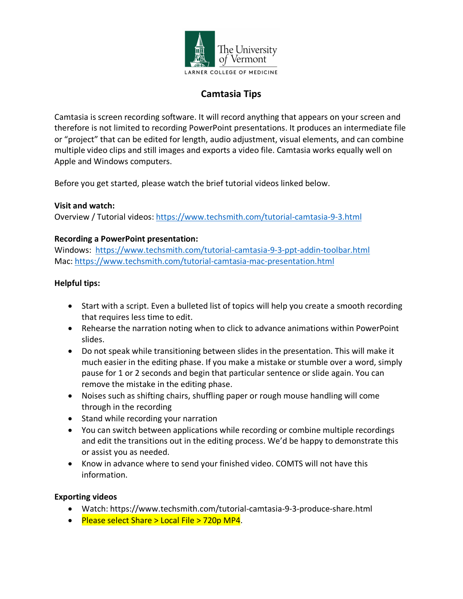

# **Camtasia Tips**

Camtasia is screen recording software. It will record anything that appears on your screen and therefore is not limited to recording PowerPoint presentations. It produces an intermediate file or "project" that can be edited for length, audio adjustment, visual elements, and can combine multiple video clips and still images and exports a video file. Camtasia works equally well on Apple and Windows computers.

Before you get started, please watch the brief tutorial videos linked below.

### **Visit and watch:**

Overview / Tutorial videos: https://www.techsmith.com/tutorial-camtasia-9-3.html

### **Recording a PowerPoint presentation:**

Windows: https://www.techsmith.com/tutorial-camtasia-9-3-ppt-addin-toolbar.html Mac: https://www.techsmith.com/tutorial-camtasia-mac-presentation.html

### **Helpful tips:**

- Start with a script. Even a bulleted list of topics will help you create a smooth recording that requires less time to edit.
- Rehearse the narration noting when to click to advance animations within PowerPoint slides.
- Do not speak while transitioning between slides in the presentation. This will make it much easier in the editing phase. If you make a mistake or stumble over a word, simply pause for 1 or 2 seconds and begin that particular sentence or slide again. You can remove the mistake in the editing phase.
- Noises such as shifting chairs, shuffling paper or rough mouse handling will come through in the recording
- Stand while recording your narration
- You can switch between applications while recording or combine multiple recordings and edit the transitions out in the editing process. We'd be happy to demonstrate this or assist you as needed.
- Know in advance where to send your finished video. COMTS will not have this information.

### **Exporting videos**

- Watch: https://www.techsmith.com/tutorial-camtasia-9-3-produce-share.html
- Please select Share > Local File > 720p MP4.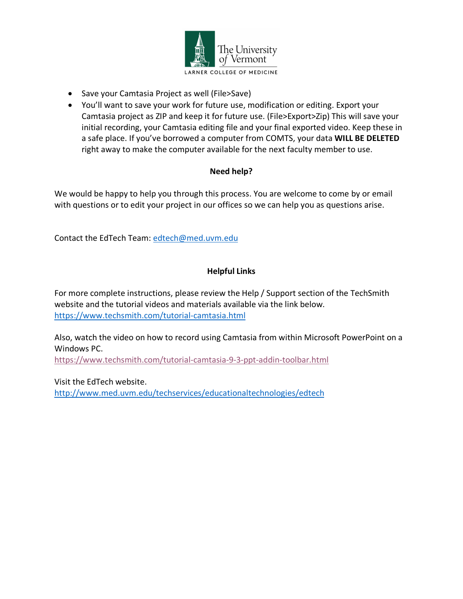

- Save your Camtasia Project as well (File>Save)
- You'll want to save your work for future use, modification or editing. Export your Camtasia project as ZIP and keep it for future use. (File>Export>Zip) This will save your initial recording, your Camtasia editing file and your final exported video. Keep these in a safe place. If you've borrowed a computer from COMTS, your data **WILL BE DELETED** right away to make the computer available for the next faculty member to use.

### **Need help?**

We would be happy to help you through this process. You are welcome to come by or email with questions or to edit your project in our offices so we can help you as questions arise.

Contact the EdTech Team: edtech@med.uvm.edu

## **Helpful Links**

For more complete instructions, please review the Help / Support section of the TechSmith website and the tutorial videos and materials available via the link below. https://www.techsmith.com/tutorial-camtasia.html

Also, watch the video on how to record using Camtasia from within Microsoft PowerPoint on a Windows PC.

https://www.techsmith.com/tutorial-camtasia-9-3-ppt-addin-toolbar.html

Visit the EdTech website. http://www.med.uvm.edu/techservices/educationaltechnologies/edtech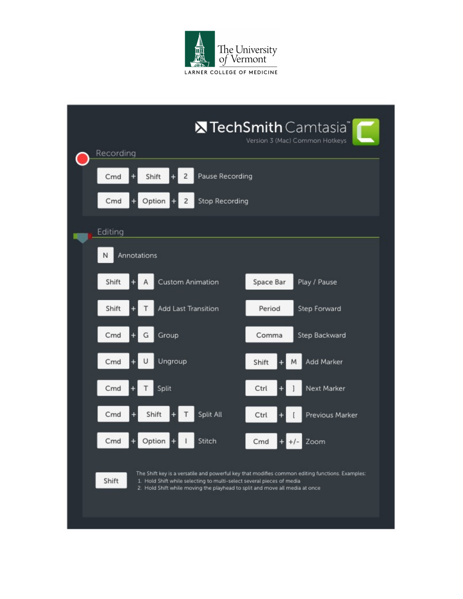

|                  |                                                   |                     |                                                                                                                                                      |           | <b>X</b> TechSmith Camtasia <sup>®</sup><br>Version 3 (Mac) Common Hotkeys                      |  |
|------------------|---------------------------------------------------|---------------------|------------------------------------------------------------------------------------------------------------------------------------------------------|-----------|-------------------------------------------------------------------------------------------------|--|
| Recording        |                                                   |                     |                                                                                                                                                      |           |                                                                                                 |  |
| Cmd              | Shift<br>Pause Recording<br>2                     |                     |                                                                                                                                                      |           |                                                                                                 |  |
| Cmd              | Option<br><b>Stop Recording</b><br>$\overline{c}$ |                     |                                                                                                                                                      |           |                                                                                                 |  |
| Editing          |                                                   |                     |                                                                                                                                                      |           |                                                                                                 |  |
| Annotations<br>Ν |                                                   |                     |                                                                                                                                                      |           |                                                                                                 |  |
| Shift            |                                                   | Custom Animation    |                                                                                                                                                      | Space Bar | Play / Pause                                                                                    |  |
| Shift            |                                                   | Add Last Transition |                                                                                                                                                      | Period    | Step Forward                                                                                    |  |
| Cmd              |                                                   | Group<br>G          |                                                                                                                                                      | Comma     | Step Backward                                                                                   |  |
| Cmd              |                                                   | Ungroup             |                                                                                                                                                      | Shift     | Add Marker<br>M                                                                                 |  |
| Cmd              |                                                   | Split               |                                                                                                                                                      | Ctrl      | Next Marker                                                                                     |  |
| Cmd              |                                                   | Shift               | Split All                                                                                                                                            | Ctrl      | Previous Marker                                                                                 |  |
| Cmd              |                                                   | Option              | Stitch                                                                                                                                               | Cmd       | Zoom<br>$+1-$                                                                                   |  |
| Shift            |                                                   |                     | 1. Hold Shift while selecting to multi-select several pieces of media<br>2. Hold Shift while moving the playhead to split and move all media at once |           | The Shift key is a versatile and powerful key that modifies common editing functions. Examples: |  |